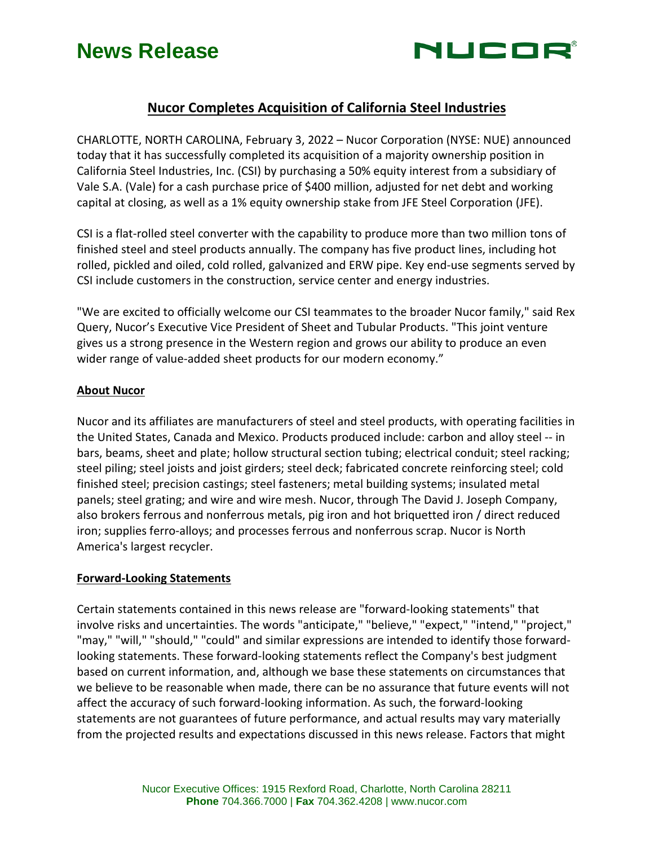## **News Release**



### **Nucor Completes Acquisition of California Steel Industries**

CHARLOTTE, NORTH CAROLINA, February 3, 2022 – Nucor Corporation (NYSE: NUE) announced today that it has successfully completed its acquisition of a majority ownership position in California Steel Industries, Inc. (CSI) by purchasing a 50% equity interest from a subsidiary of Vale S.A. (Vale) for a cash purchase price of \$400 million, adjusted for net debt and working capital at closing, as well as a 1% equity ownership stake from JFE Steel Corporation (JFE).

CSI is a flat-rolled steel converter with the capability to produce more than two million tons of finished steel and steel products annually. The company has five product lines, including hot rolled, pickled and oiled, cold rolled, galvanized and ERW pipe. Key end-use segments served by CSI include customers in the construction, service center and energy industries.

"We are excited to officially welcome our CSI teammates to the broader Nucor family," said Rex Query, Nucor's Executive Vice President of Sheet and Tubular Products. "This joint venture gives us a strong presence in the Western region and grows our ability to produce an even wider range of value-added sheet products for our modern economy."

#### **About Nucor**

Nucor and its affiliates are manufacturers of steel and steel products, with operating facilities in the United States, Canada and Mexico. Products produced include: carbon and alloy steel -- in bars, beams, sheet and plate; hollow structural section tubing; electrical conduit; steel racking; steel piling; steel joists and joist girders; steel deck; fabricated concrete reinforcing steel; cold finished steel; precision castings; steel fasteners; metal building systems; insulated metal panels; steel grating; and wire and wire mesh. Nucor, through The David J. Joseph Company, also brokers ferrous and nonferrous metals, pig iron and hot briquetted iron / direct reduced iron; supplies ferro-alloys; and processes ferrous and nonferrous scrap. Nucor is North America's largest recycler.

#### **Forward-Looking Statements**

Certain statements contained in this news release are "forward-looking statements" that involve risks and uncertainties. The words "anticipate," "believe," "expect," "intend," "project," "may," "will," "should," "could" and similar expressions are intended to identify those forwardlooking statements. These forward-looking statements reflect the Company's best judgment based on current information, and, although we base these statements on circumstances that we believe to be reasonable when made, there can be no assurance that future events will not affect the accuracy of such forward-looking information. As such, the forward-looking statements are not guarantees of future performance, and actual results may vary materially from the projected results and expectations discussed in this news release. Factors that might